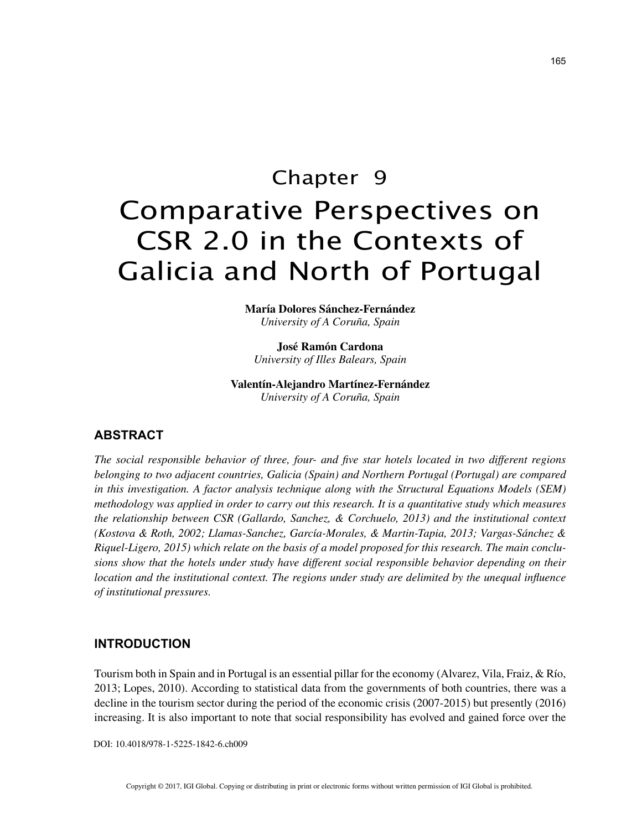# Chapter 9 Comparative Perspectives on CSR 2.0 in the Contexts of Galicia and North of Portugal

**María Dolores Sánchez-Fernández** *University of A Coruña, Spain*

**José Ramón Cardona** *University of Illes Balears, Spain*

**Valentín-Alejandro Martínez-Fernández** *University of A Coruña, Spain*

## **ABSTRACT**

*The social responsible behavior of three, four- and five star hotels located in two different regions belonging to two adjacent countries, Galicia (Spain) and Northern Portugal (Portugal) are compared in this investigation. A factor analysis technique along with the Structural Equations Models (SEM) methodology was applied in order to carry out this research. It is a quantitative study which measures the relationship between CSR (Gallardo, Sanchez, & Corchuelo, 2013) and the institutional context (Kostova & Roth, 2002; Llamas-Sanchez, García-Morales, & Martin-Tapia, 2013; Vargas-Sánchez & Riquel-Ligero, 2015) which relate on the basis of a model proposed for this research. The main conclusions show that the hotels under study have different social responsible behavior depending on their location and the institutional context. The regions under study are delimited by the unequal influence of institutional pressures.*

### **INTRODUCTION**

Tourism both in Spain and in Portugal is an essential pillar for the economy (Alvarez, Vila, Fraiz, & Río, 2013; Lopes, 2010). According to statistical data from the governments of both countries, there was a decline in the tourism sector during the period of the economic crisis (2007-2015) but presently (2016) increasing. It is also important to note that social responsibility has evolved and gained force over the

DOI: 10.4018/978-1-5225-1842-6.ch009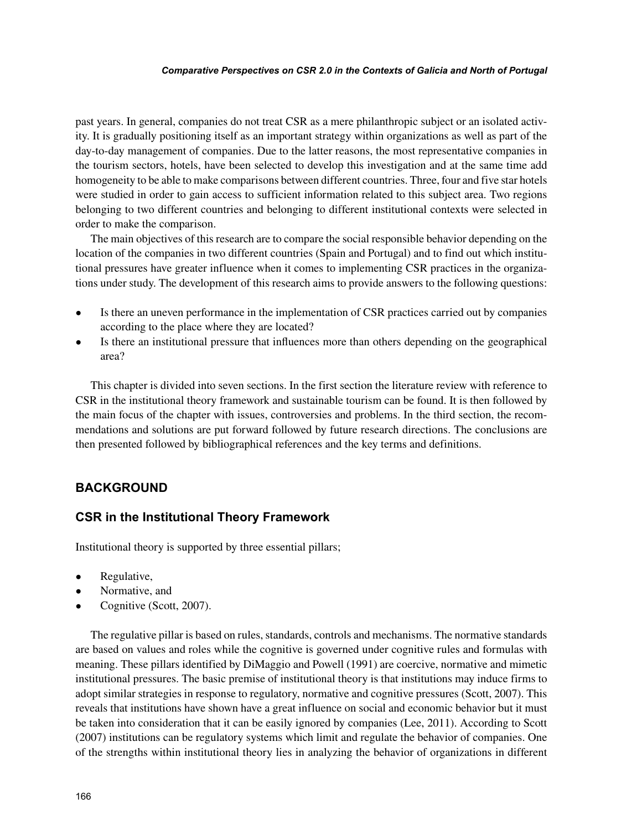#### *Comparative Perspectives on CSR 2.0 in the Contexts of Galicia and North of Portugal*

past years. In general, companies do not treat CSR as a mere philanthropic subject or an isolated activity. It is gradually positioning itself as an important strategy within organizations as well as part of the day-to-day management of companies. Due to the latter reasons, the most representative companies in the tourism sectors, hotels, have been selected to develop this investigation and at the same time add homogeneity to be able to make comparisons between different countries. Three, four and five star hotels were studied in order to gain access to sufficient information related to this subject area. Two regions belonging to two different countries and belonging to different institutional contexts were selected in order to make the comparison.

The main objectives of this research are to compare the social responsible behavior depending on the location of the companies in two different countries (Spain and Portugal) and to find out which institutional pressures have greater influence when it comes to implementing CSR practices in the organizations under study. The development of this research aims to provide answers to the following questions:

- Is there an uneven performance in the implementation of CSR practices carried out by companies according to the place where they are located?
- Is there an institutional pressure that influences more than others depending on the geographical area?

This chapter is divided into seven sections. In the first section the literature review with reference to CSR in the institutional theory framework and sustainable tourism can be found. It is then followed by the main focus of the chapter with issues, controversies and problems. In the third section, the recommendations and solutions are put forward followed by future research directions. The conclusions are then presented followed by bibliographical references and the key terms and definitions.

## **BACKGROUND**

## **CSR in the Institutional Theory Framework**

Institutional theory is supported by three essential pillars;

- Regulative,
- Normative, and
- Cognitive (Scott, 2007).

The regulative pillar is based on rules, standards, controls and mechanisms. The normative standards are based on values and roles while the cognitive is governed under cognitive rules and formulas with meaning. These pillars identified by DiMaggio and Powell (1991) are coercive, normative and mimetic institutional pressures. The basic premise of institutional theory is that institutions may induce firms to adopt similar strategies in response to regulatory, normative and cognitive pressures (Scott, 2007). This reveals that institutions have shown have a great influence on social and economic behavior but it must be taken into consideration that it can be easily ignored by companies (Lee, 2011). According to Scott (2007) institutions can be regulatory systems which limit and regulate the behavior of companies. One of the strengths within institutional theory lies in analyzing the behavior of organizations in different